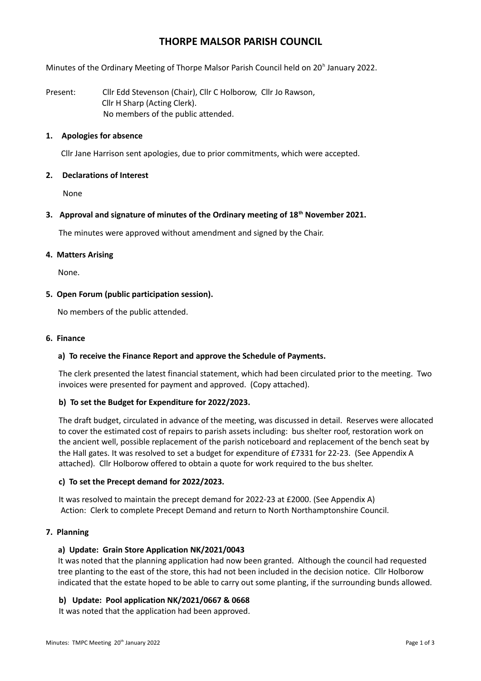# **THORPE MALSOR PARISH COUNCIL**

Minutes of the Ordinary Meeting of Thorpe Malsor Parish Council held on 20<sup>h</sup> January 2022.

Present: Cllr Edd Stevenson (Chair), Cllr C Holborow, Cllr Jo Rawson, Cllr H Sharp (Acting Clerk). No members of the public attended.

# **1. Apologies for absence**

Cllr Jane Harrison sent apologies, due to prior commitments, which were accepted.

# **2. Declarations of Interest**

None

# **3. Approval and signature of minutes of the Ordinary meeting of 18th November 2021.**

The minutes were approved without amendment and signed by the Chair.

### **4. Matters Arising**

None.

# **5. Open Forum (public participation session).**

No members of the public attended.

### **6. Finance**

# **a) To receive the Finance Report and approve the Schedule of Payments.**

The clerk presented the latest financial statement, which had been circulated prior to the meeting. Two invoices were presented for payment and approved. (Copy attached).

# **b) To set the Budget for Expenditure for 2022/2023.**

The draft budget, circulated in advance of the meeting, was discussed in detail. Reserves were allocated to cover the estimated cost of repairs to parish assets including: bus shelter roof, restoration work on the ancient well, possible replacement of the parish noticeboard and replacement of the bench seat by the Hall gates. It was resolved to set a budget for expenditure of £7331 for 22-23. (See Appendix A attached). Cllr Holborow offered to obtain a quote for work required to the bus shelter.

# **c) To set the Precept demand for 2022/2023.**

It was resolved to maintain the precept demand for 2022-23 at £2000. (See Appendix A) Action: Clerk to complete Precept Demand and return to North Northamptonshire Council.

# **7. Planning**

# **a) Update: Grain Store Application NK/2021/0043**

It was noted that the planning application had now been granted. Although the council had requested tree planting to the east of the store, this had not been included in the decision notice. Cllr Holborow indicated that the estate hoped to be able to carry out some planting, if the surrounding bunds allowed.

# **b) Update: Pool application NK/2021/0667 & 0668**

It was noted that the application had been approved.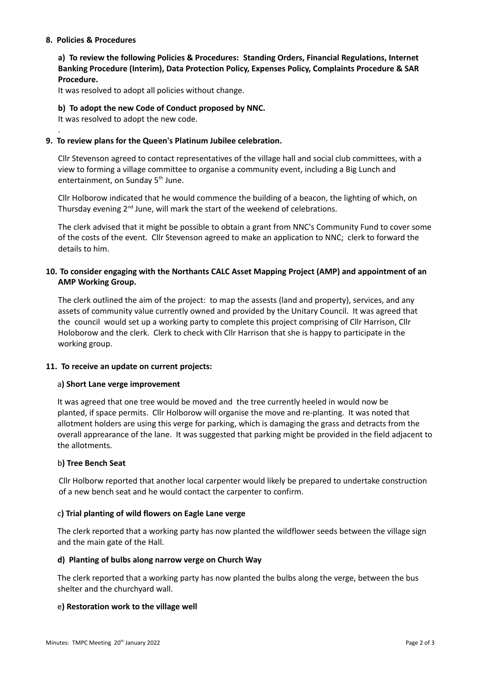### **8. Policies & Procedures**

.

**a) To review the following Policies & Procedures: Standing Orders, Financial Regulations, Internet Banking Procedure (Interim), Data Protection Policy, Expenses Policy, Complaints Procedure & SAR Procedure.**

It was resolved to adopt all policies without change.

### **b) To adopt the new Code of Conduct proposed by NNC.**

It was resolved to adopt the new code.

### **9. To review plans for the Queen's Platinum Jubilee celebration.**

Cllr Stevenson agreed to contact representatives of the village hall and social club committees, with a view to forming a village committee to organise a community event, including a Big Lunch and entertainment, on Sunday 5<sup>th</sup> June.

Cllr Holborow indicated that he would commence the building of a beacon, the lighting of which, on Thursday evening 2<sup>nd</sup> June, will mark the start of the weekend of celebrations.

The clerk advised that it might be possible to obtain a grant from NNC's Community Fund to cover some of the costs of the event. Cllr Stevenson agreed to make an application to NNC; clerk to forward the details to him.

# **10. To consider engaging with the Northants CALC Asset Mapping Project (AMP) and appointment of an AMP Working Group.**

The clerk outlined the aim of the project: to map the assests (land and property), services, and any assets of community value currently owned and provided by the Unitary Council. It was agreed that the council would set up a working party to complete this project comprising of Cllr Harrison, Cllr Holoborow and the clerk. Clerk to check with Cllr Harrison that she is happy to participate in the working group.

#### **11. To receive an update on current projects:**

#### a**) Short Lane verge improvement**

It was agreed that one tree would be moved and the tree currently heeled in would now be planted, if space permits. Cllr Holborow will organise the move and re-planting. It was noted that allotment holders are using this verge for parking, which is damaging the grass and detracts from the overall apprearance of the lane. It was suggested that parking might be provided in the field adjacent to the allotments.

#### b**) Tree Bench Seat**

Cllr Holborw reported that another local carpenter would likely be prepared to undertake construction of a new bench seat and he would contact the carpenter to confirm.

#### c**) Trial planting of wild flowers on Eagle Lane verge**

The clerk reported that a working party has now planted the wildflower seeds between the village sign and the main gate of the Hall.

#### **d) Planting of bulbs along narrow verge on Church Way**

The clerk reported that a working party has now planted the bulbs along the verge, between the bus shelter and the churchyard wall.

#### e**) Restoration work to the village well**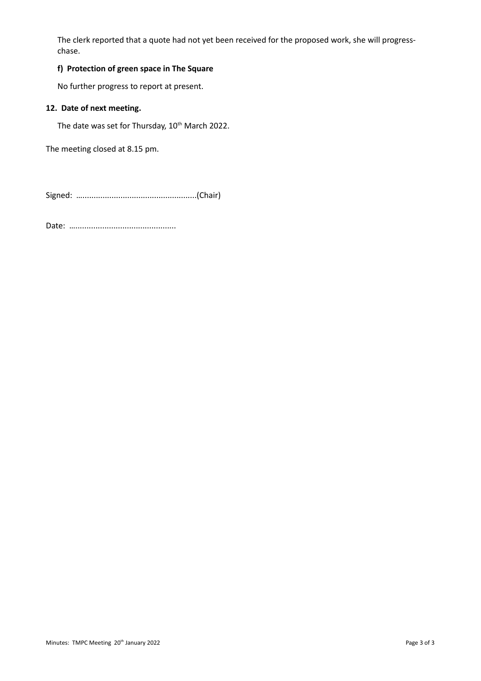The clerk reported that a quote had not yet been received for the proposed work, she will progresschase.

# **f) Protection of green space in The Square**

No further progress to report at present.

# **12. Date of next meeting.**

The date was set for Thursday, 10<sup>th</sup> March 2022.

The meeting closed at 8.15 pm.

Signed: …...................................................(Chair)

Date: …………………………………………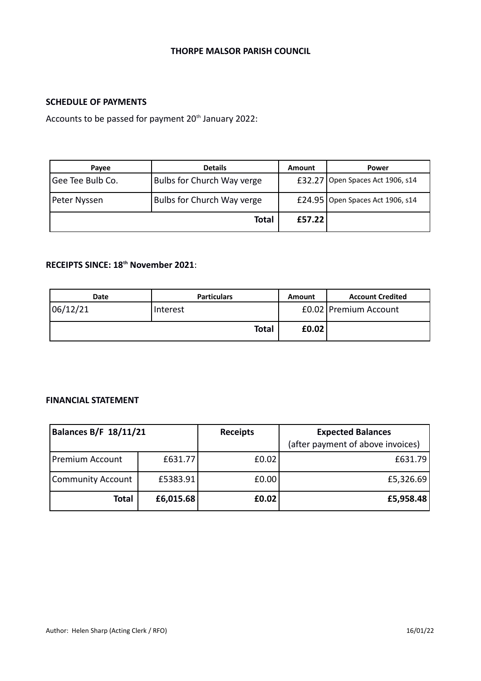# **THORPE MALSOR PARISH COUNCIL**

# **SCHEDULE OF PAYMENTS**

Accounts to be passed for payment 20<sup>th</sup> January 2022:

| Payee            | <b>Details</b>             | Amount | Power                              |  |
|------------------|----------------------------|--------|------------------------------------|--|
| Gee Tee Bulb Co. | Bulbs for Church Way verge |        | £32.27 Open Spaces Act 1906, s14   |  |
| Peter Nyssen     | Bulbs for Church Way verge |        | £24.95   Open Spaces Act 1906, s14 |  |
|                  | Total                      | £57.22 |                                    |  |

# **RECEIPTS SINCE: 18th November 2021**:

| <b>Date</b> | <b>Particulars</b> | Amount  | <b>Account Credited</b> |
|-------------|--------------------|---------|-------------------------|
| 06/12/21    | Interest           |         | £0.02 Premium Account   |
|             | <b>Total</b>       | f(0.02) |                         |

# **FINANCIAL STATEMENT**

| <b>Balances B/F 18/11/21</b> |           | <b>Receipts</b> | <b>Expected Balances</b><br>(after payment of above invoices) |
|------------------------------|-----------|-----------------|---------------------------------------------------------------|
| Premium Account              | £631.77   | £0.02           | £631.79                                                       |
| <b>Community Account</b>     | £5383.91  | £0.00           | £5,326.69                                                     |
| <b>Total</b>                 | £6,015.68 | £0.02           | £5,958.48                                                     |